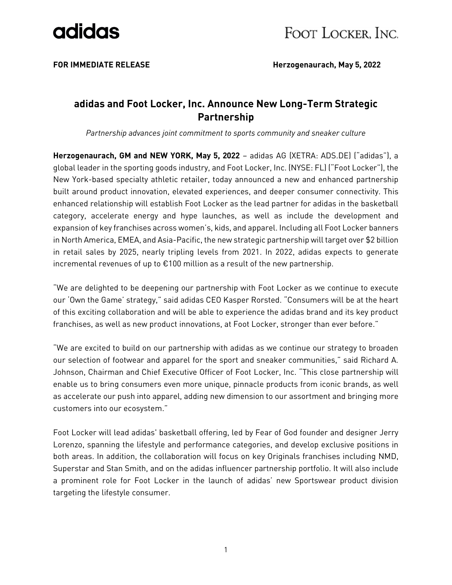

**FOR IMMEDIATE RELEASE Herzogenaurach, May 5, 2022**

### **adidas and Foot Locker, Inc. Announce New Long-Term Strategic Partnership**

*Partnership advances joint commitment to sports community and sneaker culture*

**Herzogenaurach, GM and NEW YORK, May 5, 2022** – adidas AG (XETRA: ADS.DE) ("adidas"), a global leader in the sporting goods industry, and Foot Locker, Inc. (NYSE: FL) ("Foot Locker"), the New York-based specialty athletic retailer, today announced a new and enhanced partnership built around product innovation, elevated experiences, and deeper consumer connectivity. This enhanced relationship will establish Foot Locker as the lead partner for adidas in the basketball category, accelerate energy and hype launches, as well as include the development and expansion of key franchises across women's, kids, and apparel. Including all Foot Locker banners in North America, EMEA, and Asia-Pacific, the new strategic partnership will target over \$2 billion in retail sales by 2025, nearly tripling levels from 2021. In 2022, adidas expects to generate incremental revenues of up to €100 million as a result of the new partnership.

"We are delighted to be deepening our partnership with Foot Locker as we continue to execute our 'Own the Game' strategy," said adidas CEO Kasper Rorsted. "Consumers will be at the heart of this exciting collaboration and will be able to experience the adidas brand and its key product franchises, as well as new product innovations, at Foot Locker, stronger than ever before."

"We are excited to build on our partnership with adidas as we continue our strategy to broaden our selection of footwear and apparel for the sport and sneaker communities," said Richard A. Johnson, Chairman and Chief Executive Officer of Foot Locker, Inc. "This close partnership will enable us to bring consumers even more unique, pinnacle products from iconic brands, as well as accelerate our push into apparel, adding new dimension to our assortment and bringing more customers into our ecosystem."

Foot Locker will lead adidas' basketball offering, led by Fear of God founder and designer Jerry Lorenzo, spanning the lifestyle and performance categories, and develop exclusive positions in both areas. In addition, the collaboration will focus on key Originals franchises including NMD, Superstar and Stan Smith, and on the adidas influencer partnership portfolio. It will also include a prominent role for Foot Locker in the launch of adidas' new Sportswear product division targeting the lifestyle consumer.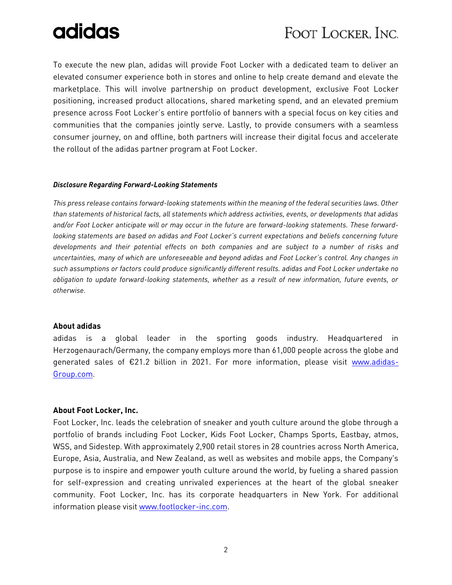# adidas

### FOOT LOCKER, INC.

To execute the new plan, adidas will provide Foot Locker with a dedicated team to deliver an elevated consumer experience both in stores and online to help create demand and elevate the marketplace. This will involve partnership on product development, exclusive Foot Locker positioning, increased product allocations, shared marketing spend, and an elevated premium presence across Foot Locker's entire portfolio of banners with a special focus on key cities and communities that the companies jointly serve. Lastly, to provide consumers with a seamless consumer journey, on and offline, both partners will increase their digital focus and accelerate the rollout of the adidas partner program at Foot Locker.

#### *Disclosure Regarding Forward-Looking Statements*

*This press release contains forward-looking statements within the meaning of the federal securities laws. Other than statements of historical facts, all statements which address activities, events, or developments that adidas and/or Foot Locker anticipate will or may occur in the future are forward-looking statements. These forwardlooking statements are based on adidas and Foot Locker's current expectations and beliefs concerning future developments and their potential effects on both companies and are subject to a number of risks and uncertainties, many of which are unforeseeable and beyond adidas and Foot Locker's control. Any changes in such assumptions or factors could produce significantly different results. adidas and Foot Locker undertake no obligation to update forward-looking statements, whether as a result of new information, future events, or otherwise.*

#### **About adidas**

adidas is a global leader in the sporting goods industry. Headquartered in Herzogenaurach/Germany, the company employs more than 61,000 people across the globe and generated sales of €21.2 billion in 2021. For more information, please visit [www.adidas-](http://www.adidas-group.com/)[Group.com.](http://www.adidas-group.com/)

#### **About Foot Locker, Inc.**

Foot Locker, Inc. leads the celebration of sneaker and youth culture around the globe through a portfolio of brands including Foot Locker, Kids Foot Locker, Champs Sports, Eastbay, atmos, WSS, and Sidestep. With approximately 2,900 retail stores in 28 countries across North America, Europe, Asia, Australia, and New Zealand, as well as websites and mobile apps, the Company's purpose is to inspire and empower youth culture around the world, by fueling a shared passion for self-expression and creating unrivaled experiences at the heart of the global sneaker community. Foot Locker, Inc. has its corporate headquarters in New York. For additional information please visi[t www.footlocker-inc.com.](http://www.footlocker-inc.com/)